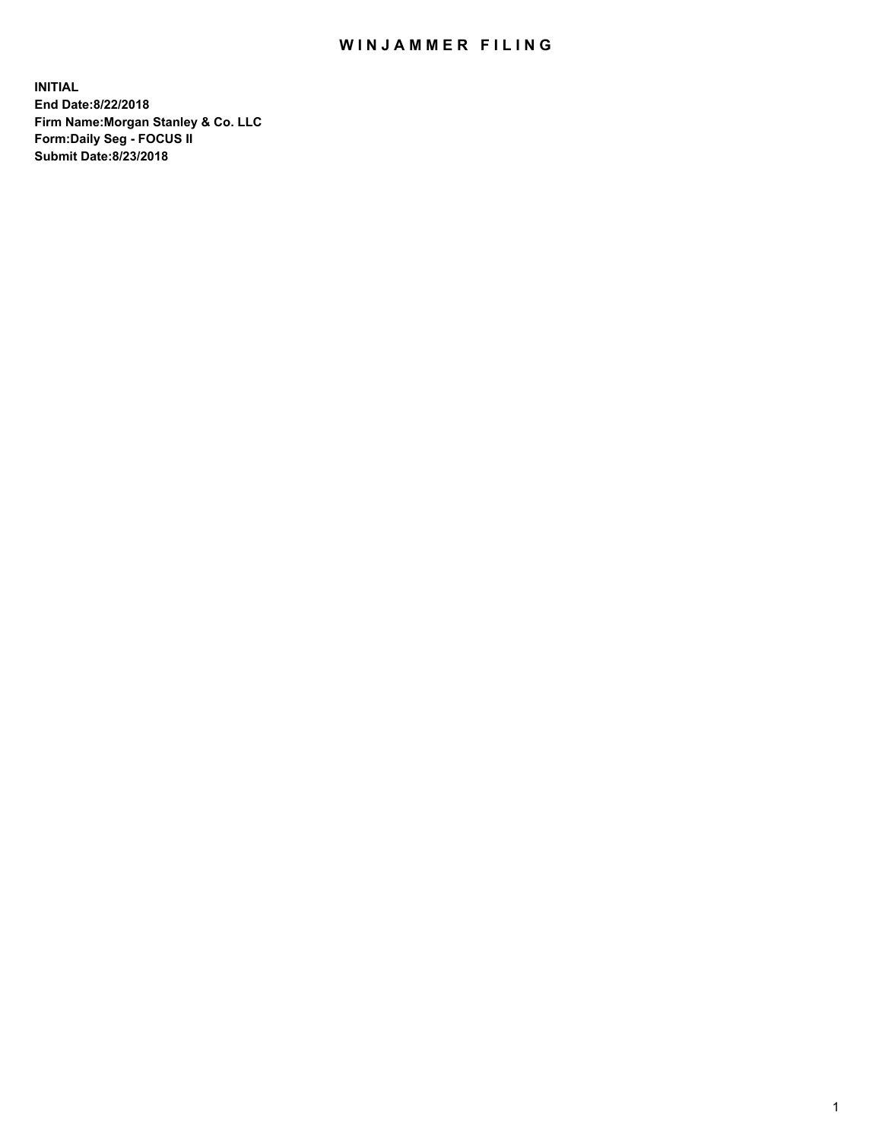## WIN JAMMER FILING

**INITIAL End Date:8/22/2018 Firm Name:Morgan Stanley & Co. LLC Form:Daily Seg - FOCUS II Submit Date:8/23/2018**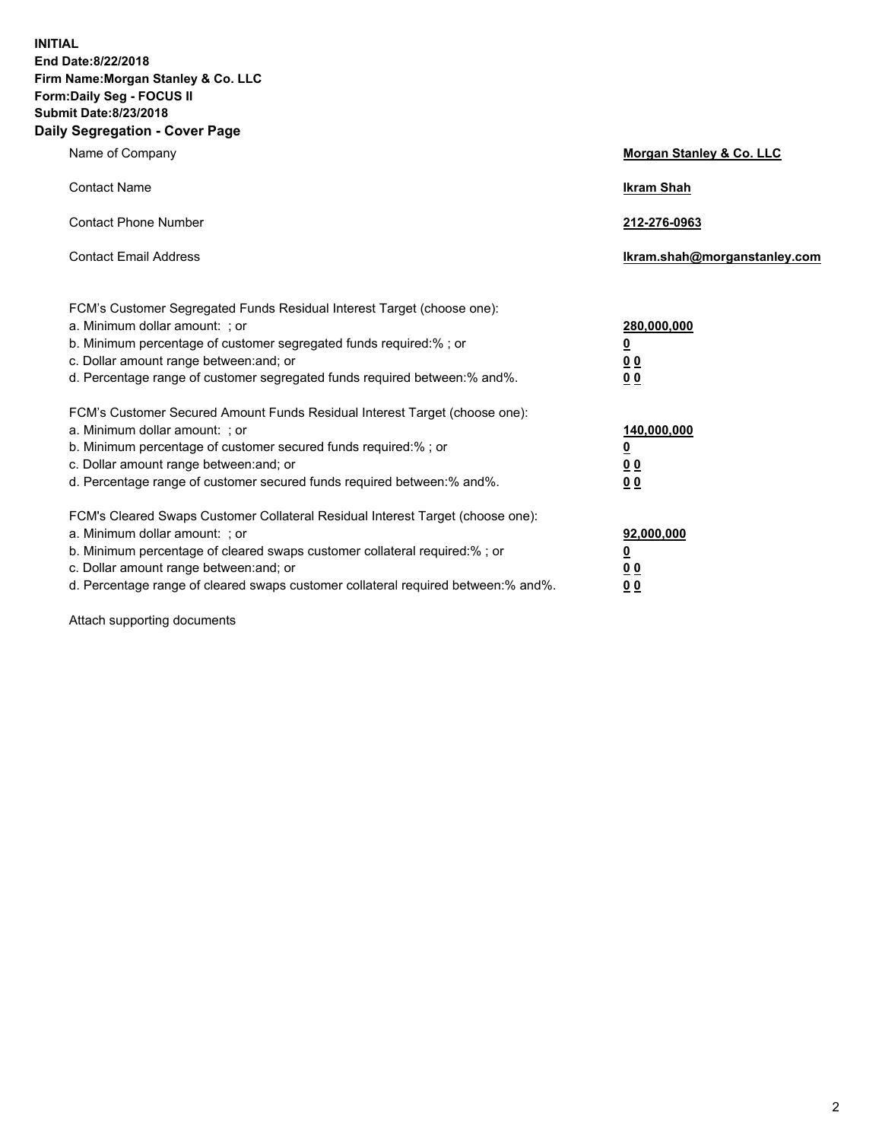**INITIAL End Date:8/22/2018 Firm Name:Morgan Stanley & Co. LLC Form:Daily Seg - FOCUS II Submit Date:8/23/2018 Daily Segregation - Cover Page**

| Name of Company                                                                                                                                                                                                                                                                                                                | Morgan Stanley & Co. LLC                                    |
|--------------------------------------------------------------------------------------------------------------------------------------------------------------------------------------------------------------------------------------------------------------------------------------------------------------------------------|-------------------------------------------------------------|
| <b>Contact Name</b>                                                                                                                                                                                                                                                                                                            | <b>Ikram Shah</b>                                           |
| <b>Contact Phone Number</b>                                                                                                                                                                                                                                                                                                    | 212-276-0963                                                |
| <b>Contact Email Address</b>                                                                                                                                                                                                                                                                                                   | lkram.shah@morganstanley.com                                |
| FCM's Customer Segregated Funds Residual Interest Target (choose one):<br>a. Minimum dollar amount: ; or<br>b. Minimum percentage of customer segregated funds required:% ; or<br>c. Dollar amount range between: and; or<br>d. Percentage range of customer segregated funds required between: % and %.                       | 280,000,000<br><u>0</u><br>00<br>0 <sub>0</sub>             |
| FCM's Customer Secured Amount Funds Residual Interest Target (choose one):<br>a. Minimum dollar amount: ; or<br>b. Minimum percentage of customer secured funds required:% ; or<br>c. Dollar amount range between: and; or<br>d. Percentage range of customer secured funds required between:% and%.                           | 140,000,000<br><u>0</u><br>0 <sub>0</sub><br>0 <sub>0</sub> |
| FCM's Cleared Swaps Customer Collateral Residual Interest Target (choose one):<br>a. Minimum dollar amount: ; or<br>b. Minimum percentage of cleared swaps customer collateral required:% ; or<br>c. Dollar amount range between: and; or<br>d. Percentage range of cleared swaps customer collateral required between:% and%. | 92,000,000<br><u>0</u><br><u>00</u><br>0 <sup>0</sup>       |

Attach supporting documents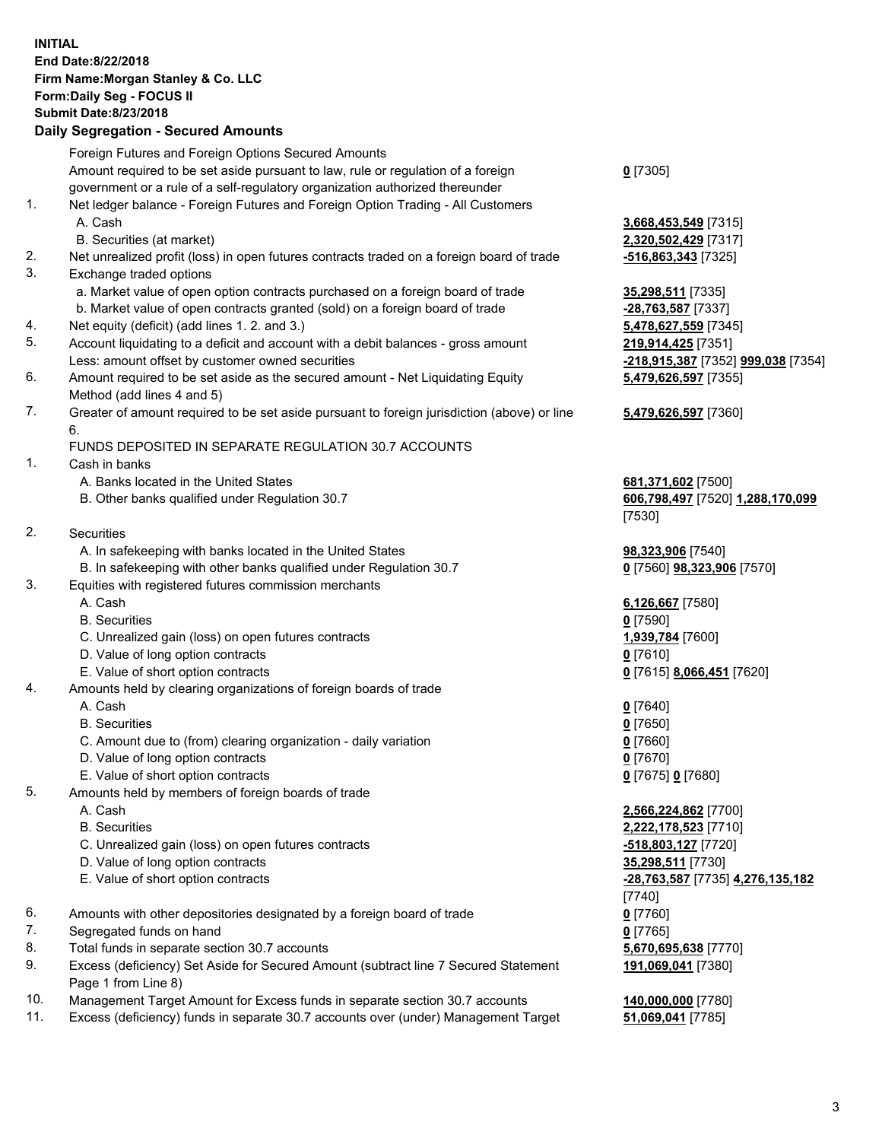## **INITIAL End Date:8/22/2018 Firm Name:Morgan Stanley & Co. LLC Form:Daily Seg - FOCUS II Submit Date:8/23/2018 Daily Segregation - Secured Amounts**

Foreign Futures and Foreign Options Secured Amounts Amount required to be set aside pursuant to law, rule or regulation of a foreign government or a rule of a self-regulatory organization authorized thereunder **0** [7305] 1. Net ledger balance - Foreign Futures and Foreign Option Trading - All Customers A. Cash **3,668,453,549** [7315] B. Securities (at market) **2,320,502,429** [7317] 2. Net unrealized profit (loss) in open futures contracts traded on a foreign board of trade **-516,863,343** [7325] 3. Exchange traded options a. Market value of open option contracts purchased on a foreign board of trade **35,298,511** [7335] b. Market value of open contracts granted (sold) on a foreign board of trade **-28,763,587** [7337] 4. Net equity (deficit) (add lines 1. 2. and 3.) **5,478,627,559** [7345] 5. Account liquidating to a deficit and account with a debit balances - gross amount **219,914,425** [7351] Less: amount offset by customer owned securities **-218,915,387** [7352] **999,038** [7354] 6. Amount required to be set aside as the secured amount - Net Liquidating Equity Method (add lines 4 and 5) 7. Greater of amount required to be set aside pursuant to foreign jurisdiction (above) or line 6. FUNDS DEPOSITED IN SEPARATE REGULATION 30.7 ACCOUNTS 1. Cash in banks A. Banks located in the United States **681,371,602** [7500] B. Other banks qualified under Regulation 30.7 **606,798,497** [7520] **1,288,170,099** [7530] 2. Securities A. In safekeeping with banks located in the United States **98,323,906** [7540] B. In safekeeping with other banks qualified under Regulation 30.7 **0** [7560] **98,323,906** [7570] 3. Equities with registered futures commission merchants A. Cash **6,126,667** [7580] B. Securities **0** [7590] C. Unrealized gain (loss) on open futures contracts **1,939,784** [7600] D. Value of long option contracts **0** [7610] E. Value of short option contracts **0** [7615] **8,066,451** [7620] 4. Amounts held by clearing organizations of foreign boards of trade A. Cash **0** [7640] B. Securities **0** [7650] C. Amount due to (from) clearing organization - daily variation **0** [7660] D. Value of long option contracts **0** [7670] E. Value of short option contracts **0** [7675] **0** [7680] 5. Amounts held by members of foreign boards of trade A. Cash **2,566,224,862** [7700] B. Securities **2,222,178,523** [7710] C. Unrealized gain (loss) on open futures contracts **-518,803,127** [7720] D. Value of long option contracts **35,298,511** [7730] E. Value of short option contracts **-28,763,587** [7735] **4,276,135,182** [7740] 6. Amounts with other depositories designated by a foreign board of trade **0** [7760] 7. Segregated funds on hand **0** [7765] 8. Total funds in separate section 30.7 accounts **5,670,695,638** [7770] 9. Excess (deficiency) Set Aside for Secured Amount (subtract line 7 Secured Statement Page 1 from Line 8)

- 10. Management Target Amount for Excess funds in separate section 30.7 accounts **140,000,000** [7780]
- 11. Excess (deficiency) funds in separate 30.7 accounts over (under) Management Target **51,069,041** [7785]

**5,479,626,597** [7355] **5,479,626,597** [7360] **191,069,041** [7380]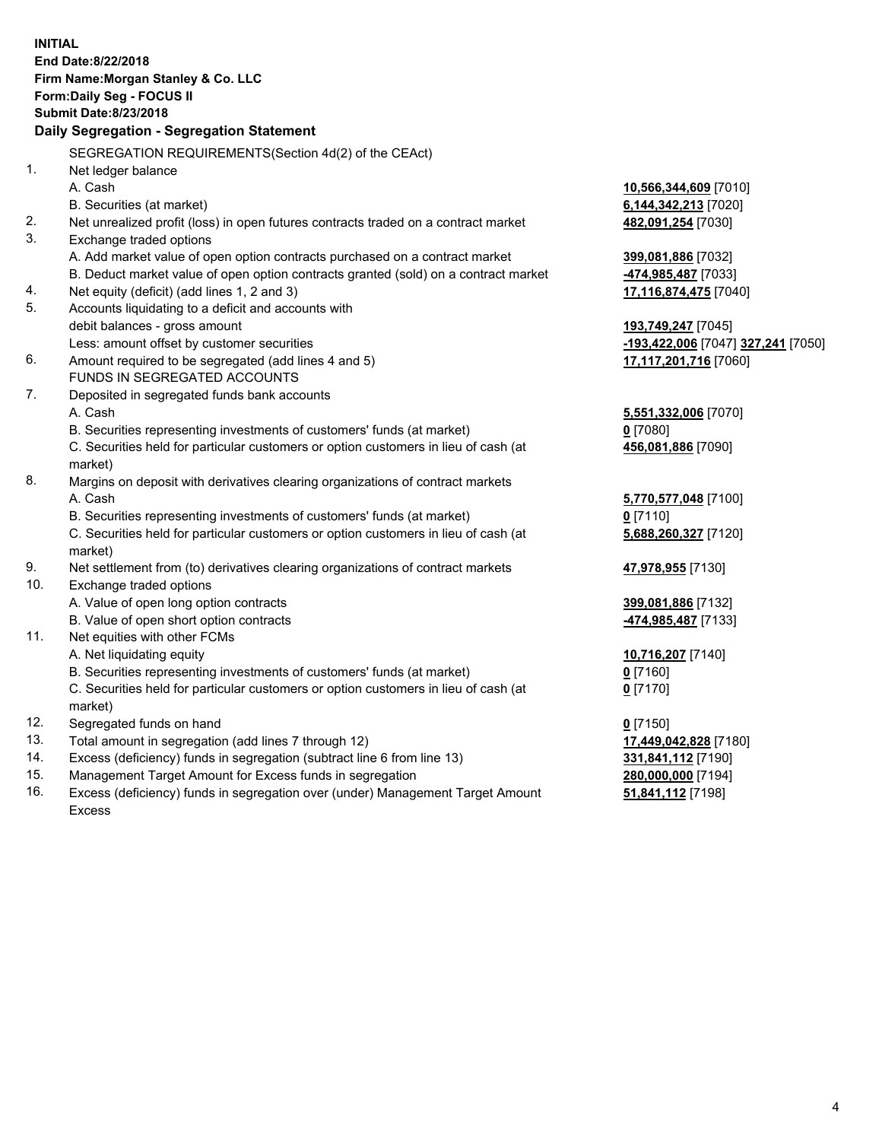**INITIAL End Date:8/22/2018 Firm Name:Morgan Stanley & Co. LLC Form:Daily Seg - FOCUS II Submit Date:8/23/2018 Daily Segregation - Segregation Statement** SEGREGATION REQUIREMENTS(Section 4d(2) of the CEAct) 1. Net ledger balance A. Cash **10,566,344,609** [7010] B. Securities (at market) **6,144,342,213** [7020] 2. Net unrealized profit (loss) in open futures contracts traded on a contract market **482,091,254** [7030] 3. Exchange traded options A. Add market value of open option contracts purchased on a contract market **399,081,886** [7032] B. Deduct market value of open option contracts granted (sold) on a contract market **-474,985,487** [7033] 4. Net equity (deficit) (add lines 1, 2 and 3) **17,116,874,475** [7040] 5. Accounts liquidating to a deficit and accounts with debit balances - gross amount **193,749,247** [7045] Less: amount offset by customer securities **-193,422,006** [7047] **327,241** [7050] 6. Amount required to be segregated (add lines 4 and 5) **17,117,201,716** [7060] FUNDS IN SEGREGATED ACCOUNTS 7. Deposited in segregated funds bank accounts A. Cash **5,551,332,006** [7070] B. Securities representing investments of customers' funds (at market) **0** [7080] C. Securities held for particular customers or option customers in lieu of cash (at market) **456,081,886** [7090] 8. Margins on deposit with derivatives clearing organizations of contract markets A. Cash **5,770,577,048** [7100] B. Securities representing investments of customers' funds (at market) **0** [7110] C. Securities held for particular customers or option customers in lieu of cash (at market) **5,688,260,327** [7120] 9. Net settlement from (to) derivatives clearing organizations of contract markets **47,978,955** [7130] 10. Exchange traded options A. Value of open long option contracts **399,081,886** [7132] B. Value of open short option contracts **-474,985,487** [7133] 11. Net equities with other FCMs A. Net liquidating equity **10,716,207** [7140] B. Securities representing investments of customers' funds (at market) **0** [7160] C. Securities held for particular customers or option customers in lieu of cash (at market) **0** [7170] 12. Segregated funds on hand **0** [7150] 13. Total amount in segregation (add lines 7 through 12) **17,449,042,828** [7180] 14. Excess (deficiency) funds in segregation (subtract line 6 from line 13) **331,841,112** [7190] 15. Management Target Amount for Excess funds in segregation **280,000,000** [7194] 16. Excess (deficiency) funds in segregation over (under) Management Target Amount **51,841,112** [7198]

Excess